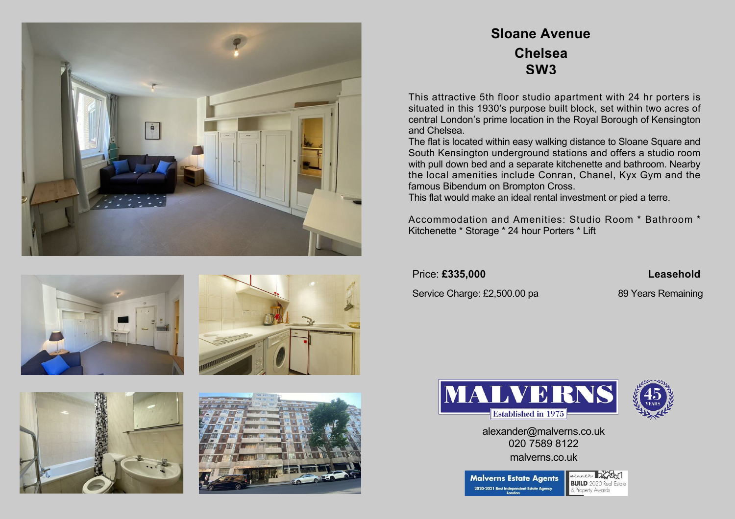









## **Sloane Avenue Chelsea SW3**

This attractive 5th floor studio apartment with 24 hr porters is situated in this 1930's purpose built block, set within two acres of central London's prime location in the Royal Borough of Kensington and Chelsea.

The flat is located within easy walking distance to Sloane Square and South Kensington underground stations and offers a studio room with pull down bed and a separate kitchenette and bathroom. Nearby the local amenities include Conran, Chanel, Kyx Gym and the famous Bibendum on Brompton Cross.

This flat would make an ideal rental investment or pied a terre.

Accommodation and Amenities: Studio Room \* Bathroom \* Kitchenette \* Storage \* 24 hour Porters \* Lift

Price: **£335,000 Leasehold**

Service Charge: £2,500.00 pa 89 Years Remaining





alexander@malverns.co.uk 020 7589 8122 malverns.co.uk

inner Kra **Malverns Estate Agents BUILD** 2020 Real 2020-2021 Best Independent Estate Agen Property Award